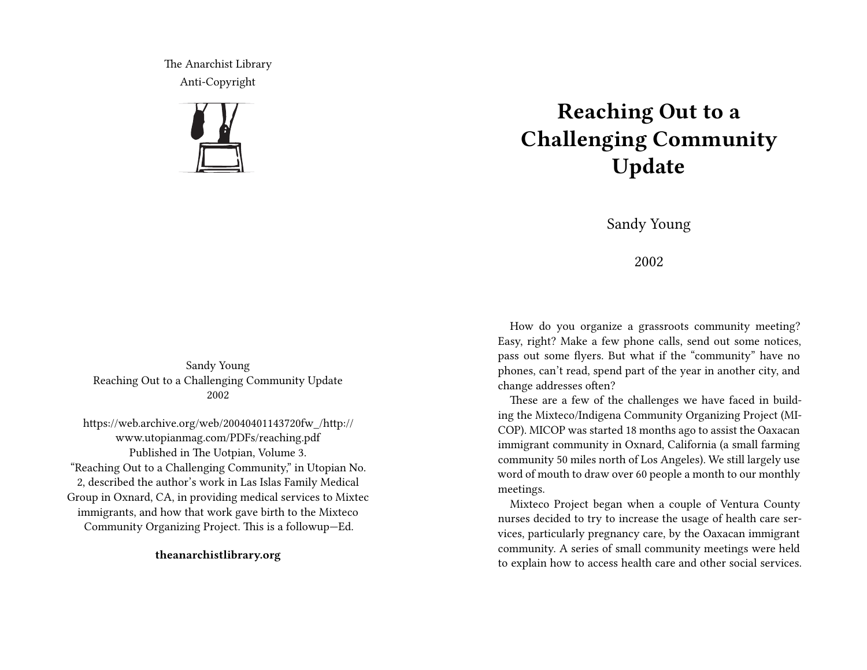The Anarchist Library Anti-Copyright



## **Reaching Out to a Challenging Community Update**

Sandy Young

2002

How do you organize a grassroots community meeting? Easy, right? Make a few phone calls, send out some notices, pass out some flyers. But what if the "community" have no phones, can't read, spend part of the year in another city, and change addresses often?

These are a few of the challenges we have faced in building the Mixteco/Indigena Community Organizing Project (MI-COP). MICOP was started 18 months ago to assist the Oaxacan immigrant community in Oxnard, California (a small farming community 50 miles north of Los Angeles). We still largely use word of mouth to draw over 60 people a month to our monthly meetings.

Mixteco Project began when a couple of Ventura County nurses decided to try to increase the usage of health care services, particularly pregnancy care, by the Oaxacan immigrant community. A series of small community meetings were held to explain how to access health care and other social services.

Sandy Young Reaching Out to a Challenging Community Update 2002

https://web.archive.org/web/20040401143720fw\_/http:// www.utopianmag.com/PDFs/reaching.pdf Published in The Uotpian, Volume 3. "Reaching Out to a Challenging Community," in Utopian No. 2, described the author's work in Las Islas Family Medical Group in Oxnard, CA, in providing medical services to Mixtec immigrants, and how that work gave birth to the Mixteco Community Organizing Project. This is a followup—Ed.

**theanarchistlibrary.org**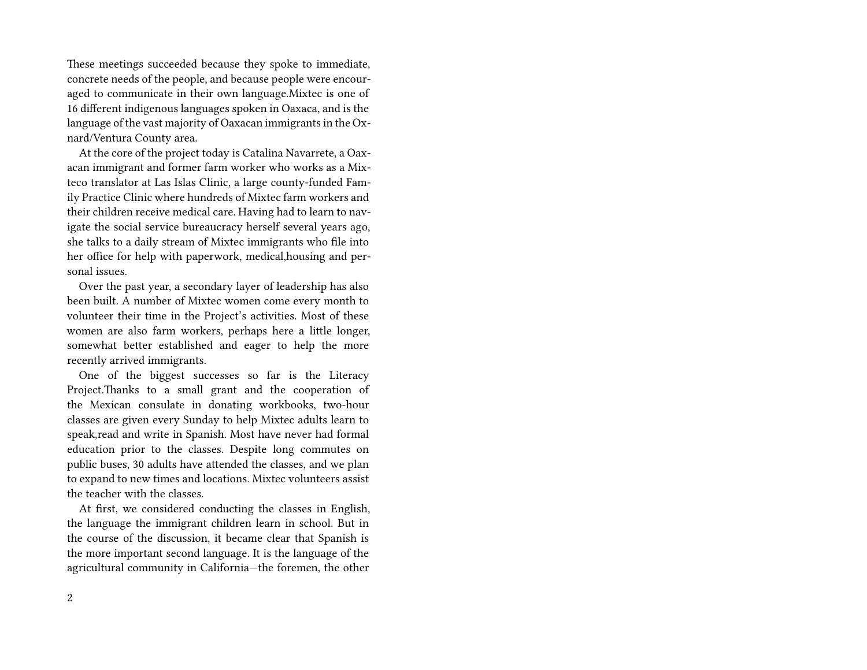These meetings succeeded because they spoke to immediate, concrete needs of the people, and because people were encouraged to communicate in their own language.Mixtec is one of 16 different indigenous languages spoken in Oaxaca, and is the language of the vast majority of Oaxacan immigrants in the Oxnard/Ventura County area.

At the core of the project today is Catalina Navarrete, a Oaxacan immigrant and former farm worker who works as a Mixteco translator at Las Islas Clinic, a large county-funded Family Practice Clinic where hundreds of Mixtec farm workers and their children receive medical care. Having had to learn to navigate the social service bureaucracy herself several years ago, she talks to a daily stream of Mixtec immigrants who file into her office for help with paperwork, medical,housing and personal issues.

Over the past year, a secondary layer of leadership has also been built. A number of Mixtec women come every month to volunteer their time in the Project's activities. Most of these women are also farm workers, perhaps here a little longer, somewhat better established and eager to help the more recently arrived immigrants.

One of the biggest successes so far is the Literacy Project.Thanks to a small grant and the cooperation of the Mexican consulate in donating workbooks, two-hour classes are given every Sunday to help Mixtec adults learn to speak,read and write in Spanish. Most have never had formal education prior to the classes. Despite long commutes on public buses, 30 adults have attended the classes, and we plan to expand to new times and locations. Mixtec volunteers assist the teacher with the classes.

At first, we considered conducting the classes in English, the language the immigrant children learn in school. But in the course of the discussion, it became clear that Spanish is the more important second language. It is the language of the agricultural community in California—the foremen, the other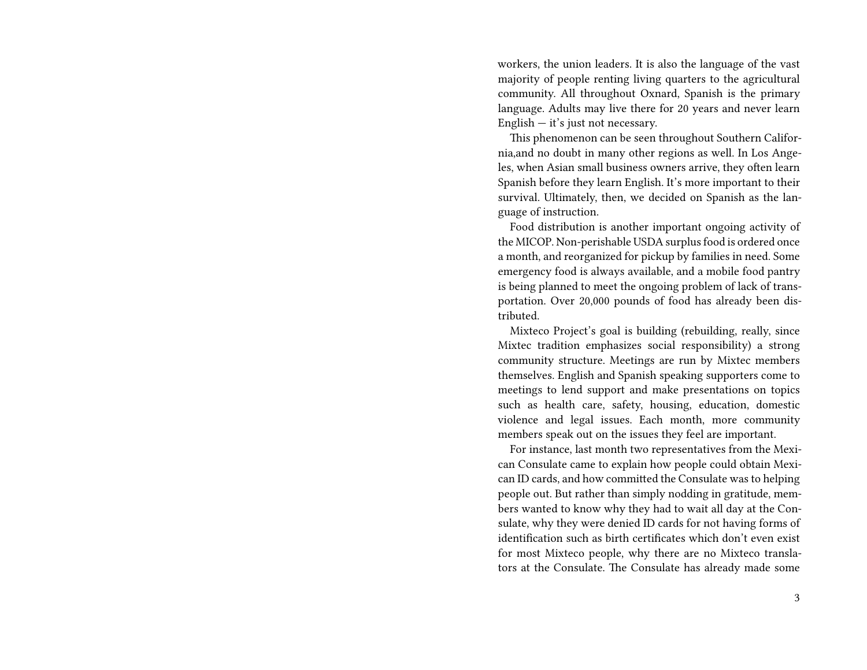workers, the union leaders. It is also the language of the vast majority of people renting living quarters to the agricultural community. All throughout Oxnard, Spanish is the primary language. Adults may live there for 20 years and never learn English  $-$  it's just not necessary.

This phenomenon can be seen throughout Southern California,and no doubt in many other regions as well. In Los Angeles, when Asian small business owners arrive, they often learn Spanish before they learn English. It's more important to their survival. Ultimately, then, we decided on Spanish as the language of instruction.

Food distribution is another important ongoing activity of the MICOP. Non-perishable USDA surplus food is ordered once a month, and reorganized for pickup by families in need. Some emergency food is always available, and a mobile food pantry is being planned to meet the ongoing problem of lack of transportation. Over 20,000 pounds of food has already been distributed.

Mixteco Project's goal is building (rebuilding, really, since Mixtec tradition emphasizes social responsibility) a strong community structure. Meetings are run by Mixtec members themselves. English and Spanish speaking supporters come to meetings to lend support and make presentations on topics such as health care, safety, housing, education, domestic violence and legal issues. Each month, more community members speak out on the issues they feel are important.

For instance, last month two representatives from the Mexican Consulate came to explain how people could obtain Mexican ID cards, and how committed the Consulate was to helping people out. But rather than simply nodding in gratitude, members wanted to know why they had to wait all day at the Consulate, why they were denied ID cards for not having forms of identification such as birth certificates which don't even exist for most Mixteco people, why there are no Mixteco translators at the Consulate. The Consulate has already made some